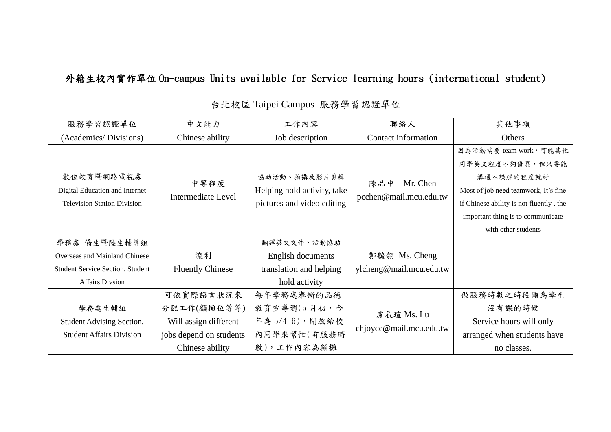## 外籍生校內實作單位 On-campus Units available for Service learning hours (international student)

| 服務學習認證單位                                | 中文能力                              | 工作內容                                                                      | 聯絡人                                       | 其他事項                                    |
|-----------------------------------------|-----------------------------------|---------------------------------------------------------------------------|-------------------------------------------|-----------------------------------------|
| (Academics/Divisions)                   | Chinese ability                   | Job description                                                           | Contact information                       | Others                                  |
|                                         |                                   |                                                                           |                                           | 因為活動需要 team work,可能其他                   |
|                                         |                                   |                                                                           |                                           | 同學英文程度不夠優異,但只要能                         |
| 數位教育暨網路電視處                              | 中等程度<br><b>Intermediate Level</b> | 協助活動、拍攝及影片剪輯<br>Helping hold activity, take<br>pictures and video editing | 陳品中<br>Mr. Chen<br>pcchen@mail.mcu.edu.tw | 溝通不誤解的程度就好                              |
| Digital Education and Internet          |                                   |                                                                           |                                           | Most of job need teamwork, It's fine    |
| <b>Television Station Division</b>      |                                   |                                                                           |                                           | if Chinese ability is not fluently, the |
|                                         |                                   |                                                                           |                                           | important thing is to communicate       |
|                                         |                                   |                                                                           |                                           | with other students                     |
| 學務處 僑生暨陸生輔導組                            |                                   | 翻譯英文文件、活動協助                                                               |                                           |                                         |
| Overseas and Mainland Chinese           | 流利                                | English documents                                                         | 鄭毓翎 Ms. Cheng                             |                                         |
| <b>Student Service Section, Student</b> | <b>Fluently Chinese</b>           | translation and helping                                                   | ylcheng@mail.mcu.edu.tw                   |                                         |
| <b>Affairs Divsion</b>                  |                                   | hold activity                                                             |                                           |                                         |
|                                         | 可依實際語言狀況來                         | 每年學務處舉辦的品德                                                                |                                           | 做服務時數之時段須為學生                            |
| 學務處生輔組                                  | 分配工作(顧攤位等等)                       | 教育宣導週(5月初,今                                                               | 盧辰瑄 Ms. Lu<br>chjoyce@mail.mcu.edu.tw     | 沒有課的時候                                  |
| <b>Student Advising Section,</b>        | Will assign different             | 年為 5/4-6),開放給校                                                            |                                           | Service hours will only                 |
| <b>Student Affairs Division</b>         | jobs depend on students           | 內同學來幫忙(有服務時                                                               |                                           | arranged when students have             |
|                                         | Chinese ability                   | 數),工作內容為顧攤                                                                |                                           | no classes.                             |

台北校區 Taipei Campus 服務學習認證單位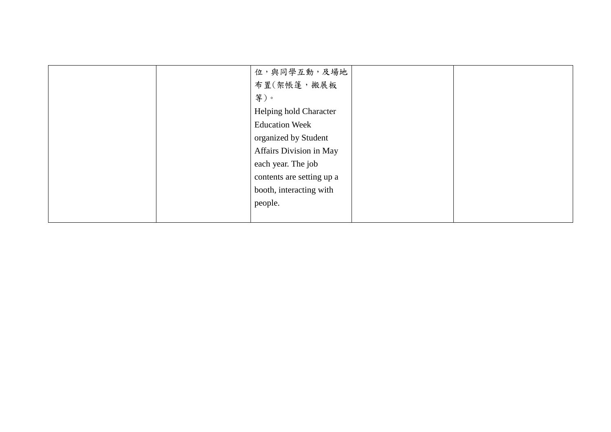|  | 位,與同學互動,及場地<br>布置(架帳篷,搬展板<br>等)。<br>Helping hold Character<br><b>Education Week</b><br>organized by Student<br>Affairs Division in May<br>each year. The job<br>contents are setting up a<br>booth, interacting with<br>people. |  |
|--|---------------------------------------------------------------------------------------------------------------------------------------------------------------------------------------------------------------------------------|--|
|  |                                                                                                                                                                                                                                 |  |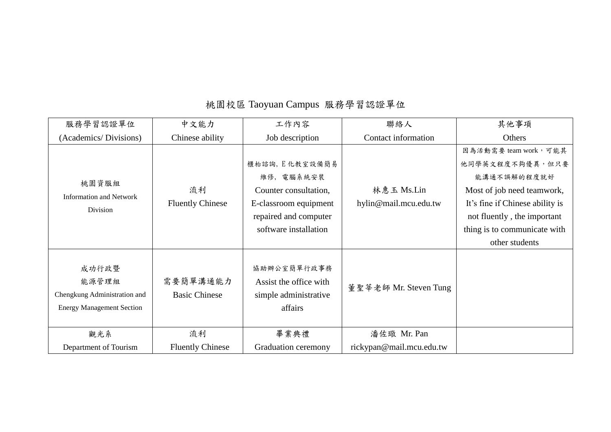| 服務學習認證單位                                            | 中文能力                          | 工作內容                   | 聯絡人                      | 其他事項                            |
|-----------------------------------------------------|-------------------------------|------------------------|--------------------------|---------------------------------|
| (Academics/Divisions)                               | Chinese ability               | Job description        | Contact information      | Others                          |
| 桃園資服組<br><b>Information and Network</b><br>Division | 流利<br><b>Fluently Chinese</b> |                        |                          | 因為活動需要 team work,可能其            |
|                                                     |                               | 櫃枱諮詢, E 化教室設備簡易        |                          | 他同學英文程度不夠優異,但只要                 |
|                                                     |                               | 維修, 電腦系統安裝             |                          | 能溝通不誤解的程度就好                     |
|                                                     |                               | Counter consultation,  | 林惠玉 Ms.Lin               | Most of job need teamwork,      |
|                                                     |                               | E-classroom equipment  | hylin@mail.mcu.edu.tw    | It's fine if Chinese ability is |
|                                                     |                               | repaired and computer  |                          | not fluently, the important     |
|                                                     |                               | software installation  |                          | thing is to communicate with    |
|                                                     |                               |                        |                          | other students                  |
|                                                     |                               |                        |                          |                                 |
| 成功行政暨                                               |                               | 協助辦公室簡單行政事務            |                          |                                 |
| 能源管理組                                               | 需要簡單溝通能力                      | Assist the office with | 董聖莘老師 Mr. Steven Tung    |                                 |
| Chengkung Administration and                        | <b>Basic Chinese</b>          | simple administrative  |                          |                                 |
| <b>Energy Management Section</b>                    |                               | affairs                |                          |                                 |
|                                                     |                               |                        |                          |                                 |
| 觀光系                                                 | 流利                            | 畢業典禮                   | 潘佐璥 Mr. Pan              |                                 |
| Department of Tourism                               | <b>Fluently Chinese</b>       | Graduation ceremony    | rickypan@mail.mcu.edu.tw |                                 |

## 桃園校區 Taoyuan Campus 服務學習認證單位